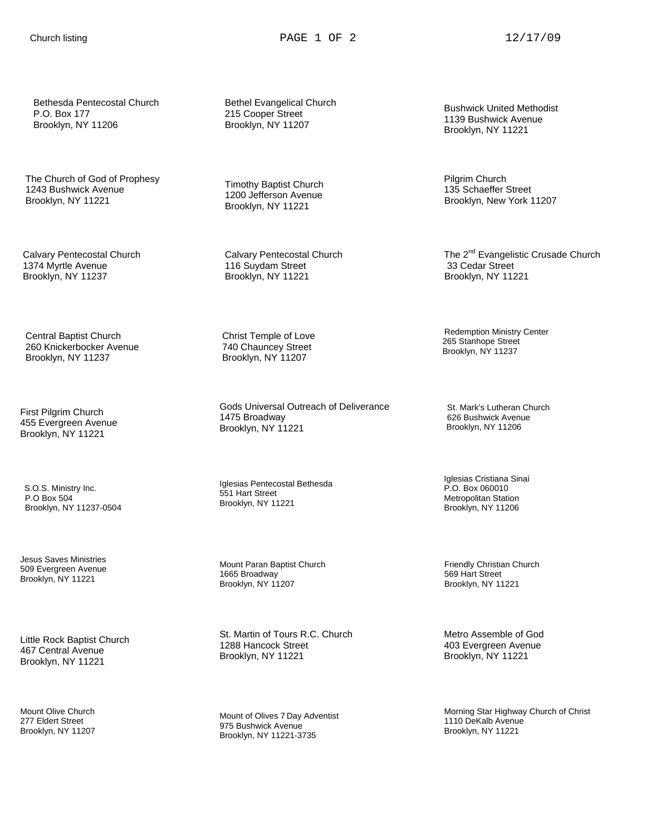Bethesda Pentecostal Church P.O. Box 177 Brooklyn, NY 11206

 The Church of God of Prophesy 1243 Bushwick Avenue Brooklyn, NY 11221

 Calvary Pentecostal Church 1374 Myrtle Avenue Brooklyn, NY 11237

 Central Baptist Church 260 Knickerbocker Avenue Brooklyn, NY 11237

First Pilgrim Church 455 Evergreen Avenue Brooklyn, NY 11221

 S.O.S. Ministry Inc. P.O Box 504 Brooklyn, NY 11237-0504

Jesus Saves Ministries 509 Evergreen Avenue Brooklyn, NY 11221

Little Rock Baptist Church 467 Central Avenue Brooklyn, NY 11221

Mount Olive Church 277 Eldert Street Brooklyn, NY 11207  Bethel Evangelical Church 215 Cooper Street Brooklyn, NY 11207

 Timothy Baptist Church 1200 Jefferson Avenue Brooklyn, NY 11221

 Calvary Pentecostal Church 116 Suydam Street Brooklyn, NY 11221

 Christ Temple of Love 740 Chauncey Street Brooklyn, NY 11207

Gods Universal Outreach of Deliverance 1475 Broadway Brooklyn, NY 11221

Iglesias Pentecostal Bethesda 551 Hart Street Brooklyn, NY 11221

Mount Paran Baptist Church 1665 Broadway Brooklyn, NY 11207

St. Martin of Tours R.C. Church 1288 Hancock Street Brooklyn, NY 11221

Mount of Olives 7 Day Adventist 975 Bushwick Avenue Brooklyn, NY 11221-3735

Bushwick United Methodist 1139 Bushwick Avenue Brooklyn, NY 11221

Pilgrim Church 135 Schaeffer Street Brooklyn, New York 11207

The 2<sup>nd</sup> Evangelistic Crusade Church 33 Cedar Street Brooklyn, NY 11221

Redemption Ministry Center 265 Stanhope Street Brooklyn, NY 11237

 St. Mark's Lutheran Church 626 Bushwick Avenue Brooklyn, NY 11206

Iglesias Cristiana Sinai P.O. Box 060010 Metropolitan Station Brooklyn, NY 11206

 Friendly Christian Church 569 Hart Street Brooklyn, NY 11221

Metro Assemble of God 403 Evergreen Avenue Brooklyn, NY 11221

Morning Star Highway Church of Christ 1110 DeKalb Avenue Brooklyn, NY 11221